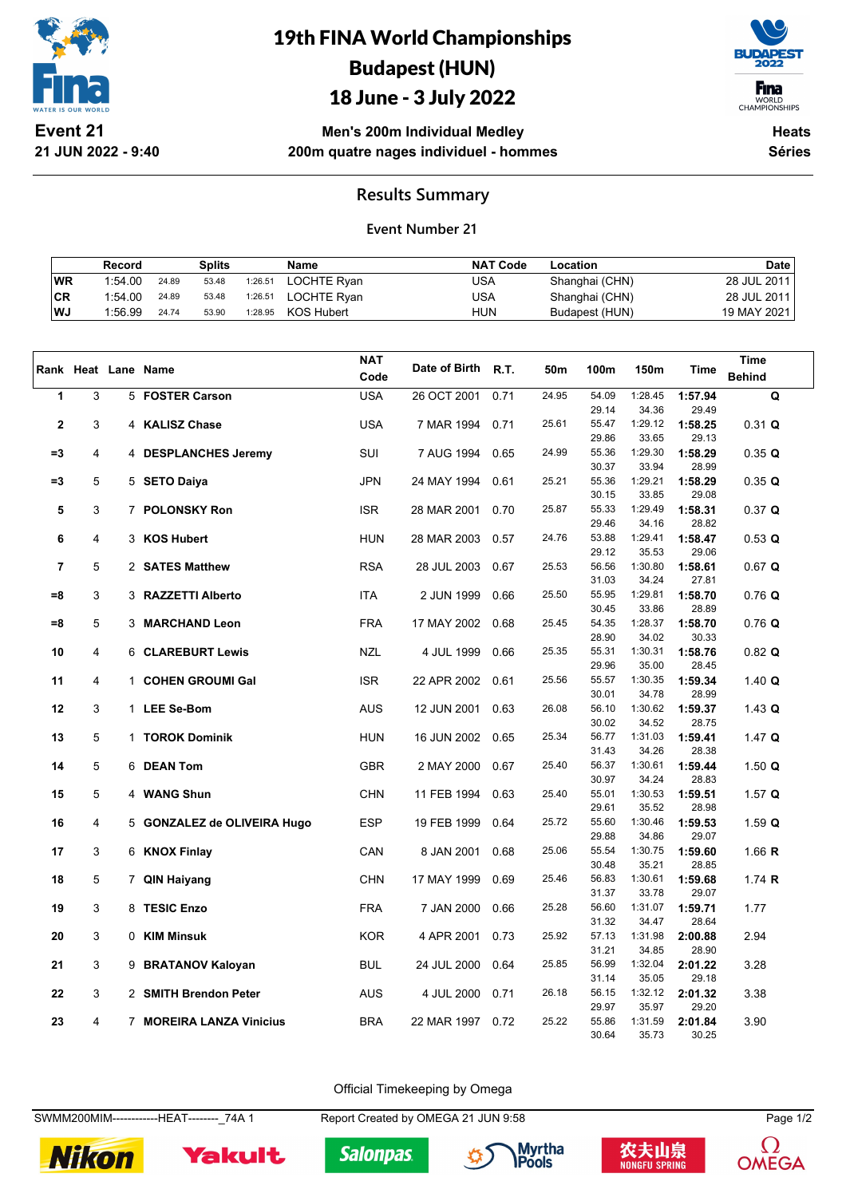

**21 JUN 2022 - 9:40**

# 19th FINA World Championships Budapest (HUN)

## 18 June - 3 July 2022



WORLD<br>CHAMPIONSHIPS

**Men's 200m Individual Medley 200m quatre nages individuel - hommes**

**Heats Séries**

### **Results Summary**

#### **Event Number 21**

|     | Record  |       | Splits |         | Name        | <b>NAT Code</b> | Location       | Date        |
|-----|---------|-------|--------|---------|-------------|-----------------|----------------|-------------|
| WR  | 1:54.00 | 24.89 | 53.48  | 1:26.51 | LOCHTE Ryan | USA             | Shanghai (CHN) | 28 JUL 2011 |
| CR  | 1:54.00 | 24.89 | 53.48  | 1:26.51 | LOCHTE Rvan | USA             | Shanghai (CHN) | 28 JUL 2011 |
| ∣WJ | 1:56.99 | 24.74 | 53.90  | 1:28.95 | KOS Hubert  | hun             | Budapest (HUN) | 19 MAY 2021 |

|             |   |              |                             | <b>NAT</b> |               |             |       |                |                  |                  | <b>Time</b>   |
|-------------|---|--------------|-----------------------------|------------|---------------|-------------|-------|----------------|------------------|------------------|---------------|
|             |   |              | Rank Heat Lane Name         | Code       | Date of Birth | <b>R.T.</b> | 50m   | 100m           | 150m             | Time             | <b>Behind</b> |
| 1           | 3 |              | 5 FOSTER Carson             | <b>USA</b> | 26 OCT 2001   | 0.71        | 24.95 | 54.09          | 1:28.45          | 1:57.94          | Q             |
|             |   |              |                             |            |               |             |       | 29.14          | 34.36            | 29.49            |               |
| $\mathbf 2$ | 3 |              | 4 KALISZ Chase              | <b>USA</b> | 7 MAR 1994    | 0.71        | 25.61 | 55.47          | 1:29.12          | 1:58.25          | 0.31 Q        |
|             |   |              |                             |            |               |             |       | 29.86          | 33.65            | 29.13            |               |
| $=3$        | 4 |              | 4 DESPLANCHES Jeremy        | SUI        | 7 AUG 1994    | 0.65        | 24.99 | 55.36          | 1:29.30          | 1:58.29          | 0.35 Q        |
|             |   |              |                             |            |               |             |       | 30.37          | 33.94            | 28.99            |               |
| $=3$        | 5 |              | 5 SETO Daiya                | <b>JPN</b> | 24 MAY 1994   | 0.61        | 25.21 | 55.36          | 1:29.21          | 1:58.29          | 0.35 Q        |
|             |   |              |                             |            |               |             | 25.87 | 30.15<br>55.33 | 33.85<br>1:29.49 | 29.08            |               |
| 5           | 3 |              | 7 POLONSKY Ron              | <b>ISR</b> | 28 MAR 2001   | 0.70        |       | 29.46          | 34.16            | 1:58.31<br>28.82 | 0.37 Q        |
| 6           | 4 |              | 3 KOS Hubert                | <b>HUN</b> | 28 MAR 2003   | 0.57        | 24.76 | 53.88          | 1:29.41          | 1:58.47          | 0.53 Q        |
|             |   |              |                             |            |               |             |       | 29.12          | 35.53            | 29.06            |               |
| 7           | 5 |              | 2 SATES Matthew             | <b>RSA</b> | 28 JUL 2003   | 0.67        | 25.53 | 56.56          | 1:30.80          | 1:58.61          | 0.67 Q        |
|             |   |              |                             |            |               |             |       | 31.03          | 34.24            | 27.81            |               |
| $= 8$       | 3 |              | 3 RAZZETTI Alberto          | <b>ITA</b> | 2 JUN 1999    | 0.66        | 25.50 | 55.95          | 1:29.81          | 1:58.70          | 0.76Q         |
|             |   |              |                             |            |               |             |       | 30.45          | 33.86            | 28.89            |               |
| $= 8$       | 5 |              | 3 MARCHAND Leon             | <b>FRA</b> | 17 MAY 2002   | 0.68        | 25.45 | 54.35          | 1:28.37          | 1:58.70          | $0.76$ Q      |
|             |   |              |                             |            |               |             |       | 28.90          | 34.02            | 30.33            |               |
| 10          | 4 |              | <b>6 CLAREBURT Lewis</b>    | <b>NZL</b> | 4 JUL 1999    | 0.66        | 25.35 | 55.31          | 1:30.31          | 1:58.76          | $0.82$ Q      |
|             |   |              |                             |            |               |             |       | 29.96          | 35.00            | 28.45            |               |
| 11          | 4 | $\mathbf{1}$ | <b>COHEN GROUMI Gal</b>     | <b>ISR</b> | 22 APR 2002   | 0.61        | 25.56 | 55.57          | 1:30.35          | 1:59.34          | $1.40$ Q      |
|             |   |              |                             |            |               |             |       | 30.01          | 34.78            | 28.99            |               |
| 12          | 3 |              | 1 LEE Se-Bom                | <b>AUS</b> | 12 JUN 2001   | 0.63        | 26.08 | 56.10          | 1:30.62          | 1:59.37          | $1.43$ Q      |
|             |   |              |                             |            |               |             |       | 30.02          | 34.52            | 28.75            |               |
| 13          | 5 |              | 1 TOROK Dominik             | <b>HUN</b> | 16 JUN 2002   | 0.65        | 25.34 | 56.77<br>31.43 | 1:31.03<br>34.26 | 1:59.41<br>28.38 | 1.47 Q        |
| 14          | 5 |              | 6 DEAN Tom                  | <b>GBR</b> | 2 MAY 2000    | 0.67        | 25.40 | 56.37          | 1:30.61          | 1:59.44          | 1.50 $Q$      |
|             |   |              |                             |            |               |             |       | 30.97          | 34.24            | 28.83            |               |
| 15          | 5 |              | 4 WANG Shun                 | <b>CHN</b> | 11 FEB 1994   | 0.63        | 25.40 | 55.01          | 1:30.53          | 1:59.51          | 1.57 $Q$      |
|             |   |              |                             |            |               |             |       | 29.61          | 35.52            | 28.98            |               |
| 16          | 4 |              | 5 GONZALEZ de OLIVEIRA Hugo | <b>ESP</b> | 19 FEB 1999   | 0.64        | 25.72 | 55.60          | 1:30.46          | 1:59.53          | 1.59 $Q$      |
|             |   |              |                             |            |               |             |       | 29.88          | 34.86            | 29.07            |               |
| 17          | 3 |              | 6 KNOX Finlay               | CAN        | 8 JAN 2001    | 0.68        | 25.06 | 55.54          | 1:30.75          | 1:59.60          | 1.66 $R$      |
|             |   |              |                             |            |               |             |       | 30.48          | 35.21            | 28.85            |               |
| 18          | 5 |              | 7 QIN Haiyang               | <b>CHN</b> | 17 MAY 1999   | 0.69        | 25.46 | 56.83          | 1:30.61          | 1:59.68          | 1.74 $R$      |
|             |   |              |                             |            |               |             |       | 31.37          | 33.78            | 29.07            |               |
| 19          | 3 |              | 8 TESIC Enzo                | <b>FRA</b> | 7 JAN 2000    | 0.66        | 25.28 | 56.60          | 1:31.07          | 1:59.71          | 1.77          |
| 20          | 3 |              | 0 KIM Minsuk                | <b>KOR</b> | 4 APR 2001    | 0.73        | 25.92 | 31.32<br>57.13 | 34.47<br>1:31.98 | 28.64            | 2.94          |
|             |   |              |                             |            |               |             |       | 31.21          | 34.85            | 2:00.88<br>28.90 |               |
| 21          | 3 |              | 9 BRATANOV Kaloyan          | <b>BUL</b> | 24 JUL 2000   | 0.64        | 25.85 | 56.99          | 1:32.04          | 2:01.22          | 3.28          |
|             |   |              |                             |            |               |             |       | 31.14          | 35.05            | 29.18            |               |
| 22          | 3 |              | 2 SMITH Brendon Peter       | <b>AUS</b> | 4 JUL 2000    | 0.71        | 26.18 | 56.15          | 1:32.12          | 2:01.32          | 3.38          |
|             |   |              |                             |            |               |             |       | 29.97          | 35.97            | 29.20            |               |
| 23          | 4 |              | 7 MOREIRA LANZA Vinicius    | <b>BRA</b> | 22 MAR 1997   | 0.72        | 25.22 | 55.86          | 1:31.59          | 2:01.84          | 3.90          |
|             |   |              |                             |            |               |             |       | 30.64          | 35.73            | 30.25            |               |

Official Timekeeping by Omega

SWMM200MIM-------------HEAT--------- 74A 1 Report Created by OMEGA 21 JUN 9:58 Page 1/2



Yakult